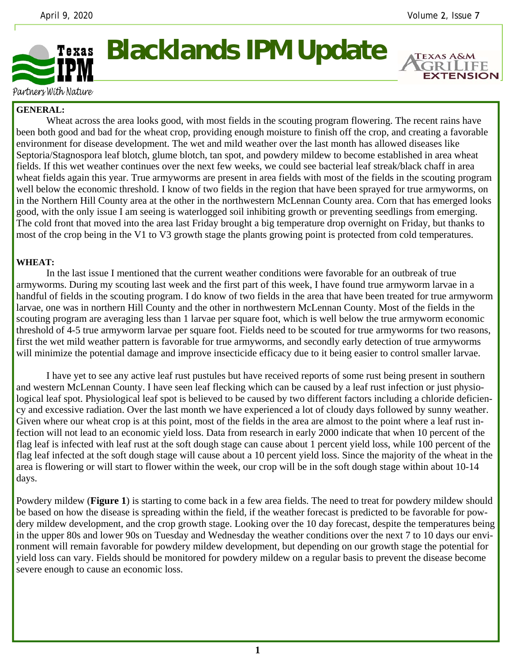**EXTENSION** 



## **Blacklands IPM Update**

Partners With Nature

## **GENERAL:**

 Wheat across the area looks good, with most fields in the scouting program flowering. The recent rains have been both good and bad for the wheat crop, providing enough moisture to finish off the crop, and creating a favorable environment for disease development. The wet and mild weather over the last month has allowed diseases like Septoria/Stagnospora leaf blotch, glume blotch, tan spot, and powdery mildew to become established in area wheat fields. If this wet weather continues over the next few weeks, we could see bacterial leaf streak/black chaff in area wheat fields again this year. True armyworms are present in area fields with most of the fields in the scouting program well below the economic threshold. I know of two fields in the region that have been sprayed for true armyworms, on in the Northern Hill County area at the other in the northwestern McLennan County area. Corn that has emerged looks good, with the only issue I am seeing is waterlogged soil inhibiting growth or preventing seedlings from emerging. The cold front that moved into the area last Friday brought a big temperature drop overnight on Friday, but thanks to most of the crop being in the V1 to V3 growth stage the plants growing point is protected from cold temperatures.

## **WHEAT:**

 In the last issue I mentioned that the current weather conditions were favorable for an outbreak of true armyworms. During my scouting last week and the first part of this week, I have found true armyworm larvae in a handful of fields in the scouting program. I do know of two fields in the area that have been treated for true armyworm larvae, one was in northern Hill County and the other in northwestern McLennan County. Most of the fields in the scouting program are averaging less than 1 larvae per square foot, which is well below the true armyworm economic threshold of 4-5 true armyworm larvae per square foot. Fields need to be scouted for true armyworms for two reasons, first the wet mild weather pattern is favorable for true armyworms, and secondly early detection of true armyworms will minimize the potential damage and improve insecticide efficacy due to it being easier to control smaller larvae.

 I have yet to see any active leaf rust pustules but have received reports of some rust being present in southern and western McLennan County. I have seen leaf flecking which can be caused by a leaf rust infection or just physiological leaf spot. Physiological leaf spot is believed to be caused by two different factors including a chloride deficiency and excessive radiation. Over the last month we have experienced a lot of cloudy days followed by sunny weather. Given where our wheat crop is at this point, most of the fields in the area are almost to the point where a leaf rust infection will not lead to an economic yield loss. Data from research in early 2000 indicate that when 10 percent of the flag leaf is infected with leaf rust at the soft dough stage can cause about 1 percent yield loss, while 100 percent of the flag leaf infected at the soft dough stage will cause about a 10 percent yield loss. Since the majority of the wheat in the area is flowering or will start to flower within the week, our crop will be in the soft dough stage within about 10-14 days.

Powdery mildew (**Figure 1**) is starting to come back in a few area fields. The need to treat for powdery mildew should be based on how the disease is spreading within the field, if the weather forecast is predicted to be favorable for powdery mildew development, and the crop growth stage. Looking over the 10 day forecast, despite the temperatures being in the upper 80s and lower 90s on Tuesday and Wednesday the weather conditions over the next 7 to 10 days our environment will remain favorable for powdery mildew development, but depending on our growth stage the potential for yield loss can vary. Fields should be monitored for powdery mildew on a regular basis to prevent the disease become severe enough to cause an economic loss.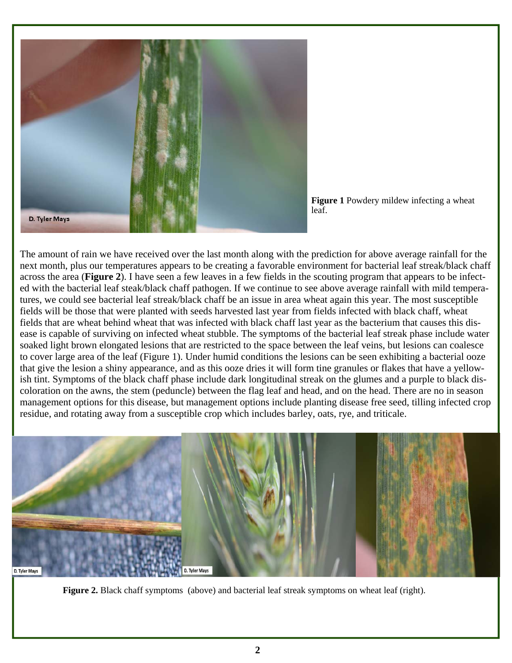

**Figure 1** Powdery mildew infecting a wheat leaf.

The amount of rain we have received over the last month along with the prediction for above average rainfall for the next month, plus our temperatures appears to be creating a favorable environment for bacterial leaf streak/black chaff across the area (**Figure 2**). I have seen a few leaves in a few fields in the scouting program that appears to be infected with the bacterial leaf steak/black chaff pathogen. If we continue to see above average rainfall with mild temperatures, we could see bacterial leaf streak/black chaff be an issue in area wheat again this year. The most susceptible fields will be those that were planted with seeds harvested last year from fields infected with black chaff, wheat fields that are wheat behind wheat that was infected with black chaff last year as the bacterium that causes this disease is capable of surviving on infected wheat stubble. The symptoms of the bacterial leaf streak phase include water soaked light brown elongated lesions that are restricted to the space between the leaf veins, but lesions can coalesce to cover large area of the leaf (Figure 1). Under humid conditions the lesions can be seen exhibiting a bacterial ooze that give the lesion a shiny appearance, and as this ooze dries it will form tine granules or flakes that have a yellowish tint. Symptoms of the black chaff phase include dark longitudinal streak on the glumes and a purple to black discoloration on the awns, the stem (peduncle) between the flag leaf and head, and on the head. There are no in season management options for this disease, but management options include planting disease free seed, tilling infected crop residue, and rotating away from a susceptible crop which includes barley, oats, rye, and triticale.



**Figure 2.** Black chaff symptoms (above) and bacterial leaf streak symptoms on wheat leaf (right).